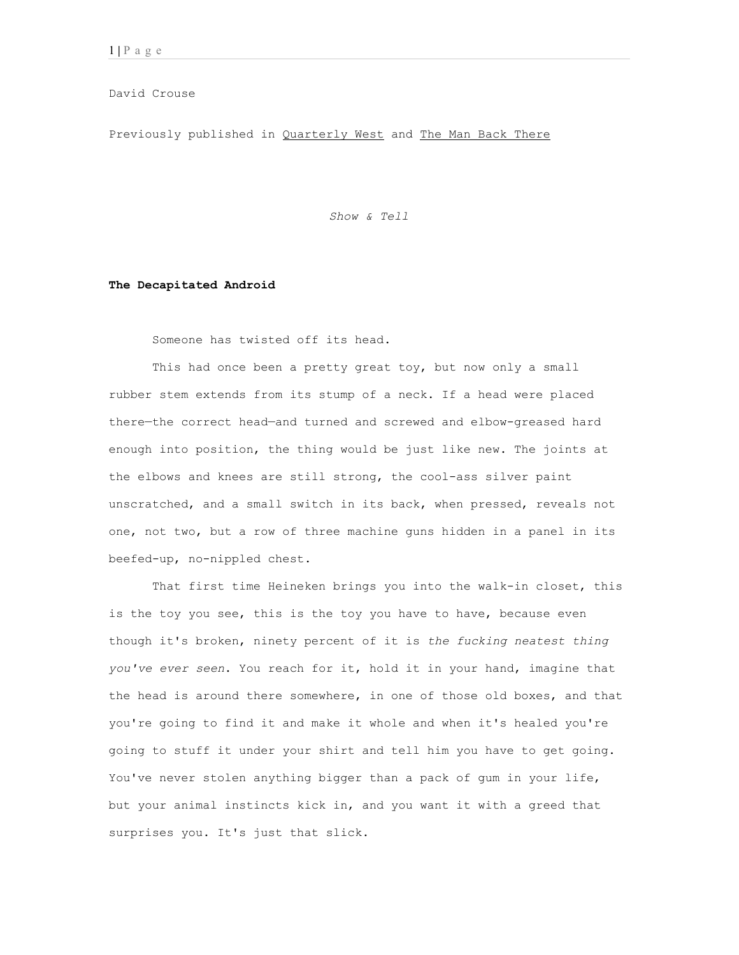# David Crouse

Previously published in Quarterly West and The Man Back There

*Show & Tell*

## **The Decapitated Android**

Someone has twisted off its head.

This had once been a pretty great toy, but now only a small rubber stem extends from its stump of a neck. If a head were placed there—the correct head—and turned and screwed and elbow-greased hard enough into position, the thing would be just like new. The joints at the elbows and knees are still strong, the cool-ass silver paint unscratched, and a small switch in its back, when pressed, reveals not one, not two, but a row of three machine guns hidden in a panel in its beefed-up, no-nippled chest.

That first time Heineken brings you into the walk-in closet, this is the toy you see, this is the toy you have to have, because even though it's broken, ninety percent of it is *the fucking neatest thing you've ever seen*. You reach for it, hold it in your hand, imagine that the head is around there somewhere, in one of those old boxes, and that you're going to find it and make it whole and when it's healed you're going to stuff it under your shirt and tell him you have to get going. You've never stolen anything bigger than a pack of gum in your life, but your animal instincts kick in, and you want it with a greed that surprises you. It's just that slick.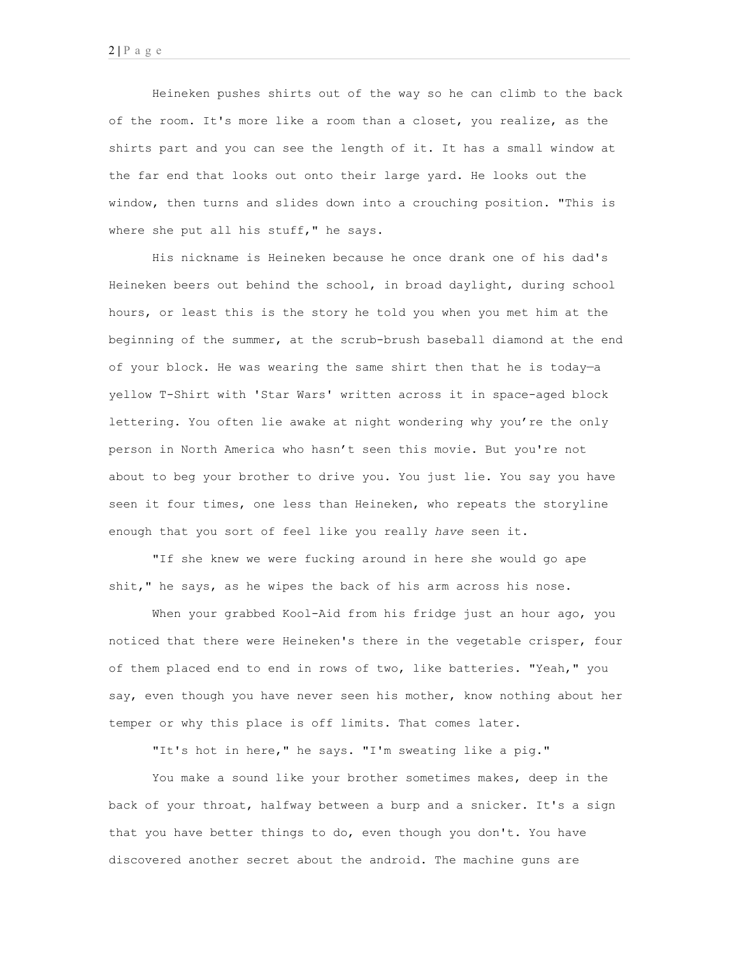Heineken pushes shirts out of the way so he can climb to the back of the room. It's more like a room than a closet, you realize, as the shirts part and you can see the length of it. It has a small window at the far end that looks out onto their large yard. He looks out the window, then turns and slides down into a crouching position. "This is where she put all his stuff," he says.

His nickname is Heineken because he once drank one of his dad's Heineken beers out behind the school, in broad daylight, during school hours, or least this is the story he told you when you met him at the beginning of the summer, at the scrub-brush baseball diamond at the end of your block. He was wearing the same shirt then that he is today—a yellow T-Shirt with 'Star Wars' written across it in space-aged block lettering. You often lie awake at night wondering why you're the only person in North America who hasn't seen this movie. But you're not about to beg your brother to drive you. You just lie. You say you have seen it four times, one less than Heineken, who repeats the storyline enough that you sort of feel like you really *have* seen it.

"If she knew we were fucking around in here she would go ape shit," he says, as he wipes the back of his arm across his nose.

When your grabbed Kool-Aid from his fridge just an hour ago, you noticed that there were Heineken's there in the vegetable crisper, four of them placed end to end in rows of two, like batteries. "Yeah," you say, even though you have never seen his mother, know nothing about her temper or why this place is off limits. That comes later.

"It's hot in here," he says. "I'm sweating like a pig."

You make a sound like your brother sometimes makes, deep in the back of your throat, halfway between a burp and a snicker. It's a sign that you have better things to do, even though you don't. You have discovered another secret about the android. The machine guns are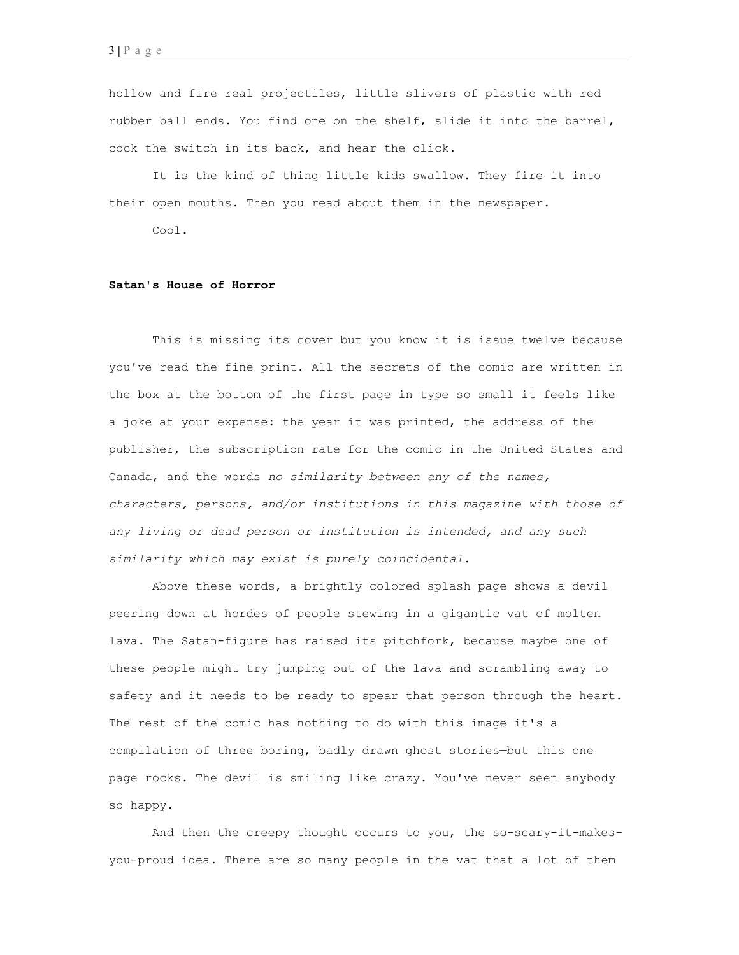hollow and fire real projectiles, little slivers of plastic with red rubber ball ends. You find one on the shelf, slide it into the barrel, cock the switch in its back, and hear the click.

It is the kind of thing little kids swallow. They fire it into their open mouths. Then you read about them in the newspaper.

Cool.

## **Satan's House of Horror**

This is missing its cover but you know it is issue twelve because you've read the fine print. All the secrets of the comic are written in the box at the bottom of the first page in type so small it feels like a joke at your expense: the year it was printed, the address of the publisher, the subscription rate for the comic in the United States and Canada, and the words *no similarity between any of the names, characters, persons, and/or institutions in this magazine with those of any living or dead person or institution is intended, and any such similarity which may exist is purely coincidental*.

Above these words, a brightly colored splash page shows a devil peering down at hordes of people stewing in a gigantic vat of molten lava. The Satan-figure has raised its pitchfork, because maybe one of these people might try jumping out of the lava and scrambling away to safety and it needs to be ready to spear that person through the heart. The rest of the comic has nothing to do with this image-it's a compilation of three boring, badly drawn ghost stories—but this one page rocks. The devil is smiling like crazy. You've never seen anybody so happy.

And then the creepy thought occurs to you, the so-scary-it-makesyou-proud idea. There are so many people in the vat that a lot of them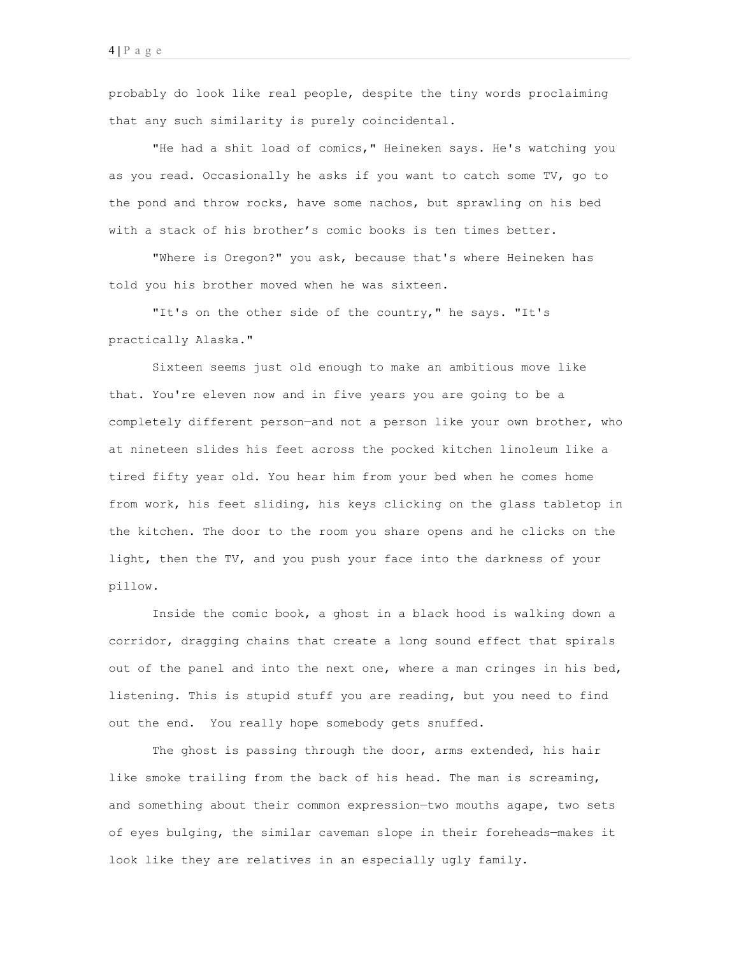probably do look like real people, despite the tiny words proclaiming that any such similarity is purely coincidental.

"He had a shit load of comics," Heineken says. He's watching you as you read. Occasionally he asks if you want to catch some TV, go to the pond and throw rocks, have some nachos, but sprawling on his bed with a stack of his brother's comic books is ten times better.

"Where is Oregon?" you ask, because that's where Heineken has told you his brother moved when he was sixteen.

"It's on the other side of the country," he says. "It's practically Alaska."

Sixteen seems just old enough to make an ambitious move like that. You're eleven now and in five years you are going to be a completely different person—and not a person like your own brother, who at nineteen slides his feet across the pocked kitchen linoleum like a tired fifty year old. You hear him from your bed when he comes home from work, his feet sliding, his keys clicking on the glass tabletop in the kitchen. The door to the room you share opens and he clicks on the light, then the TV, and you push your face into the darkness of your pillow.

Inside the comic book, a ghost in a black hood is walking down a corridor, dragging chains that create a long sound effect that spirals out of the panel and into the next one, where a man cringes in his bed, listening. This is stupid stuff you are reading, but you need to find out the end. You really hope somebody gets snuffed.

The ghost is passing through the door, arms extended, his hair like smoke trailing from the back of his head. The man is screaming, and something about their common expression—two mouths agape, two sets of eyes bulging, the similar caveman slope in their foreheads—makes it look like they are relatives in an especially ugly family.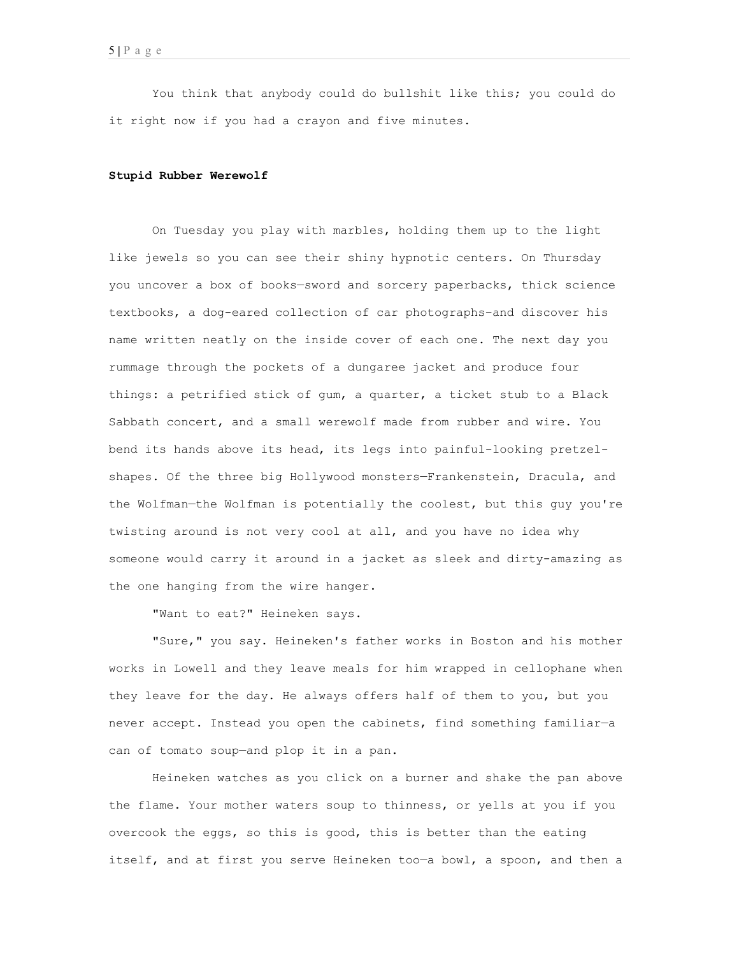You think that anybody could do bullshit like this; you could do it right now if you had a crayon and five minutes.

#### **Stupid Rubber Werewolf**

On Tuesday you play with marbles, holding them up to the light like jewels so you can see their shiny hypnotic centers. On Thursday you uncover a box of books—sword and sorcery paperbacks, thick science textbooks, a dog-eared collection of car photographs–and discover his name written neatly on the inside cover of each one. The next day you rummage through the pockets of a dungaree jacket and produce four things: a petrified stick of gum, a quarter, a ticket stub to a Black Sabbath concert, and a small werewolf made from rubber and wire. You bend its hands above its head, its legs into painful-looking pretzelshapes. Of the three big Hollywood monsters—Frankenstein, Dracula, and the Wolfman—the Wolfman is potentially the coolest, but this guy you're twisting around is not very cool at all, and you have no idea why someone would carry it around in a jacket as sleek and dirty-amazing as the one hanging from the wire hanger.

"Want to eat?" Heineken says.

"Sure," you say. Heineken's father works in Boston and his mother works in Lowell and they leave meals for him wrapped in cellophane when they leave for the day. He always offers half of them to you, but you never accept. Instead you open the cabinets, find something familiar—a can of tomato soup—and plop it in a pan.

Heineken watches as you click on a burner and shake the pan above the flame. Your mother waters soup to thinness, or yells at you if you overcook the eggs, so this is good, this is better than the eating itself, and at first you serve Heineken too—a bowl, a spoon, and then a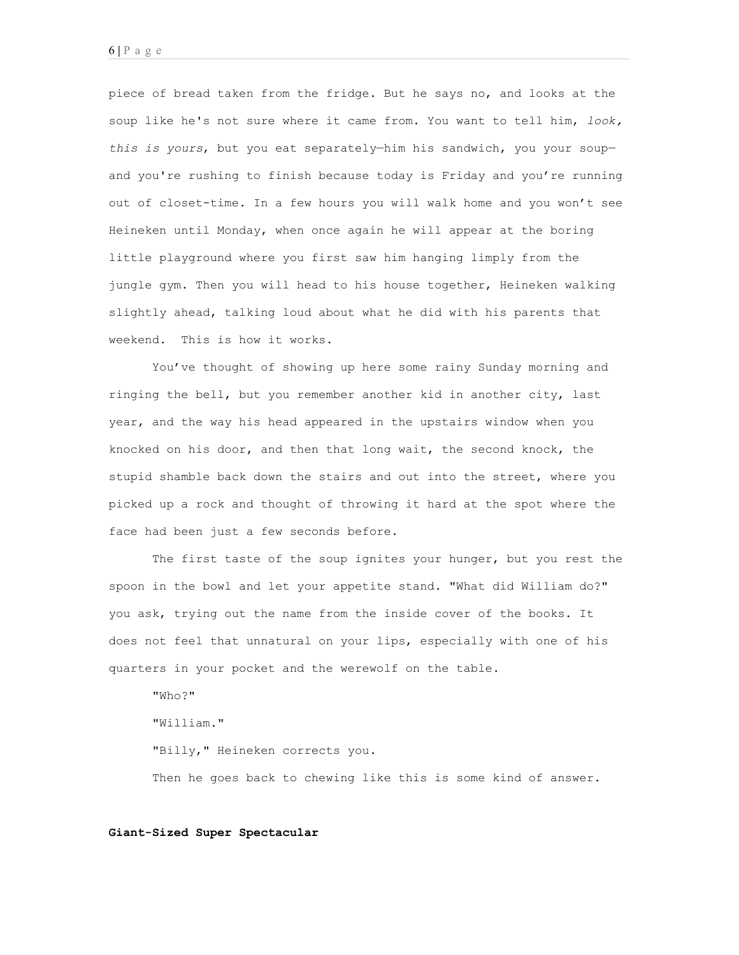piece of bread taken from the fridge. But he says no, and looks at the soup like he's not sure where it came from. You want to tell him, *look, this is yours*, but you eat separately—him his sandwich, you your soup and you're rushing to finish because today is Friday and you're running out of closet-time. In a few hours you will walk home and you won't see Heineken until Monday, when once again he will appear at the boring little playground where you first saw him hanging limply from the jungle gym. Then you will head to his house together, Heineken walking slightly ahead, talking loud about what he did with his parents that weekend. This is how it works.

You've thought of showing up here some rainy Sunday morning and ringing the bell, but you remember another kid in another city, last year, and the way his head appeared in the upstairs window when you knocked on his door, and then that long wait, the second knock, the stupid shamble back down the stairs and out into the street, where you picked up a rock and thought of throwing it hard at the spot where the face had been just a few seconds before.

The first taste of the soup ignites your hunger, but you rest the spoon in the bowl and let your appetite stand. "What did William do?" you ask, trying out the name from the inside cover of the books. It does not feel that unnatural on your lips, especially with one of his quarters in your pocket and the werewolf on the table.

"Who?" "William." "Billy," Heineken corrects you. Then he goes back to chewing like this is some kind of answer.

#### **Giant-Sized Super Spectacular**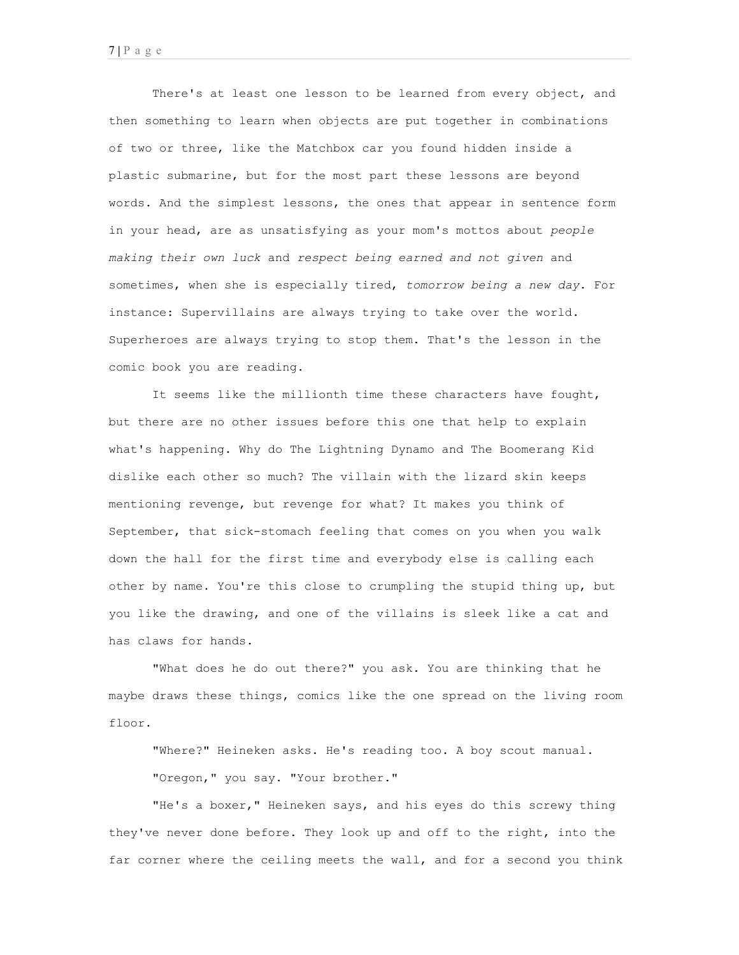There's at least one lesson to be learned from every object, and then something to learn when objects are put together in combinations of two or three, like the Matchbox car you found hidden inside a plastic submarine, but for the most part these lessons are beyond words. And the simplest lessons, the ones that appear in sentence form in your head, are as unsatisfying as your mom's mottos about *people making their own luck* and *respect being earned and not given* and sometimes, when she is especially tired, *tomorrow being a new day*. For instance: Supervillains are always trying to take over the world. Superheroes are always trying to stop them. That's the lesson in the comic book you are reading.

It seems like the millionth time these characters have fought, but there are no other issues before this one that help to explain what's happening. Why do The Lightning Dynamo and The Boomerang Kid dislike each other so much? The villain with the lizard skin keeps mentioning revenge, but revenge for what? It makes you think of September, that sick-stomach feeling that comes on you when you walk down the hall for the first time and everybody else is calling each other by name. You're this close to crumpling the stupid thing up, but you like the drawing, and one of the villains is sleek like a cat and has claws for hands.

"What does he do out there?" you ask. You are thinking that he maybe draws these things, comics like the one spread on the living room floor.

"Where?" Heineken asks. He's reading too. A boy scout manual. "Oregon," you say. "Your brother."

"He's a boxer," Heineken says, and his eyes do this screwy thing they've never done before. They look up and off to the right, into the far corner where the ceiling meets the wall, and for a second you think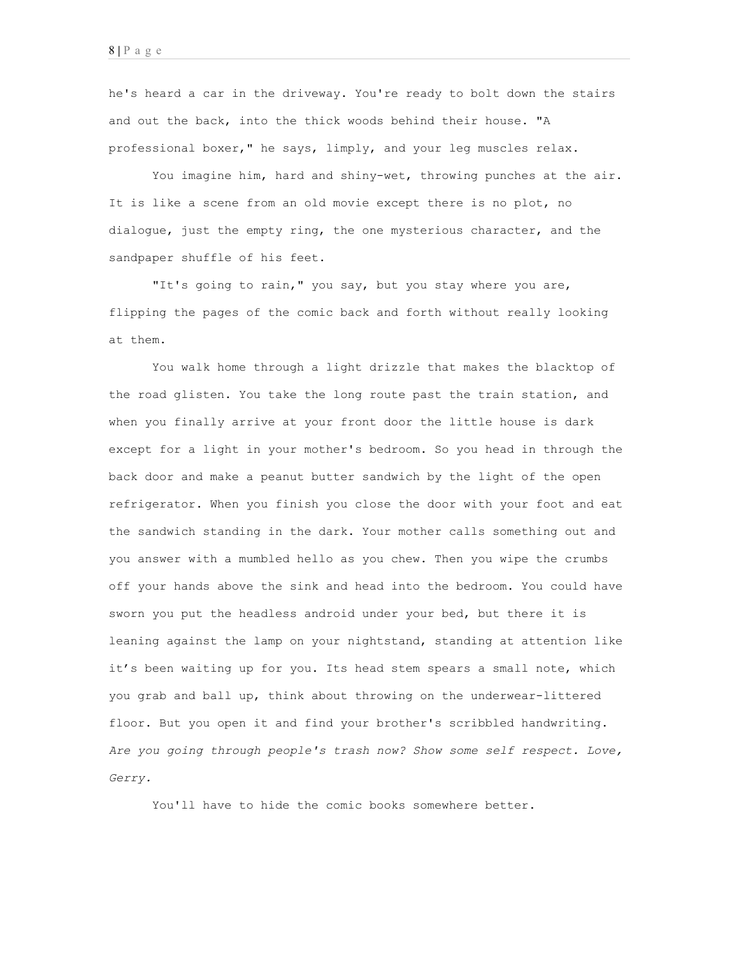he's heard a car in the driveway. You're ready to bolt down the stairs and out the back, into the thick woods behind their house. "A professional boxer," he says, limply, and your leg muscles relax.

You imagine him, hard and shiny-wet, throwing punches at the air. It is like a scene from an old movie except there is no plot, no dialogue, just the empty ring, the one mysterious character, and the sandpaper shuffle of his feet.

"It's going to rain," you say, but you stay where you are, flipping the pages of the comic back and forth without really looking at them.

You walk home through a light drizzle that makes the blacktop of the road glisten. You take the long route past the train station, and when you finally arrive at your front door the little house is dark except for a light in your mother's bedroom. So you head in through the back door and make a peanut butter sandwich by the light of the open refrigerator. When you finish you close the door with your foot and eat the sandwich standing in the dark. Your mother calls something out and you answer with a mumbled hello as you chew. Then you wipe the crumbs off your hands above the sink and head into the bedroom. You could have sworn you put the headless android under your bed, but there it is leaning against the lamp on your nightstand, standing at attention like it's been waiting up for you. Its head stem spears a small note, which you grab and ball up, think about throwing on the underwear-littered floor. But you open it and find your brother's scribbled handwriting. *Are you going through people's trash now? Show some self respect. Love, Gerry.* 

You'll have to hide the comic books somewhere better.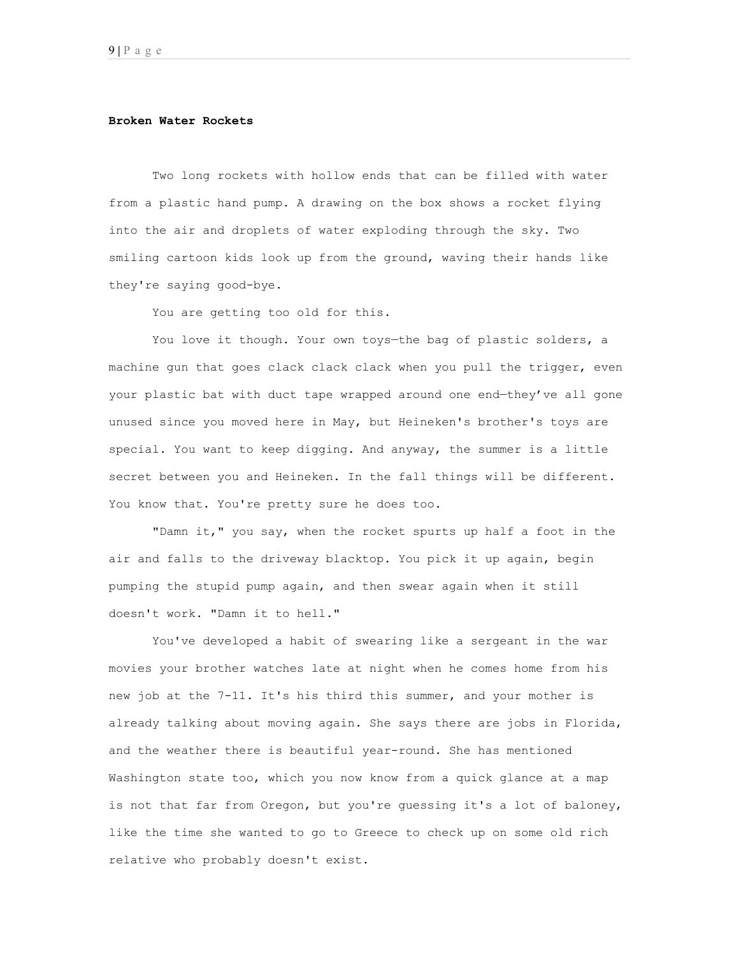#### **Broken Water Rockets**

Two long rockets with hollow ends that can be filled with water from a plastic hand pump. A drawing on the box shows a rocket flying into the air and droplets of water exploding through the sky. Two smiling cartoon kids look up from the ground, waving their hands like they're saying good-bye.

You are getting too old for this.

You love it though. Your own toys-the bag of plastic solders, a machine gun that goes clack clack clack when you pull the trigger, even your plastic bat with duct tape wrapped around one end—they've all gone unused since you moved here in May, but Heineken's brother's toys are special. You want to keep digging. And anyway, the summer is a little secret between you and Heineken. In the fall things will be different. You know that. You're pretty sure he does too.

"Damn it," you say, when the rocket spurts up half a foot in the air and falls to the driveway blacktop. You pick it up again, begin pumping the stupid pump again, and then swear again when it still doesn't work. "Damn it to hell."

You've developed a habit of swearing like a sergeant in the war movies your brother watches late at night when he comes home from his new job at the 7-11. It's his third this summer, and your mother is already talking about moving again. She says there are jobs in Florida, and the weather there is beautiful year-round. She has mentioned Washington state too, which you now know from a quick glance at a map is not that far from Oregon, but you're guessing it's a lot of baloney, like the time she wanted to go to Greece to check up on some old rich relative who probably doesn't exist.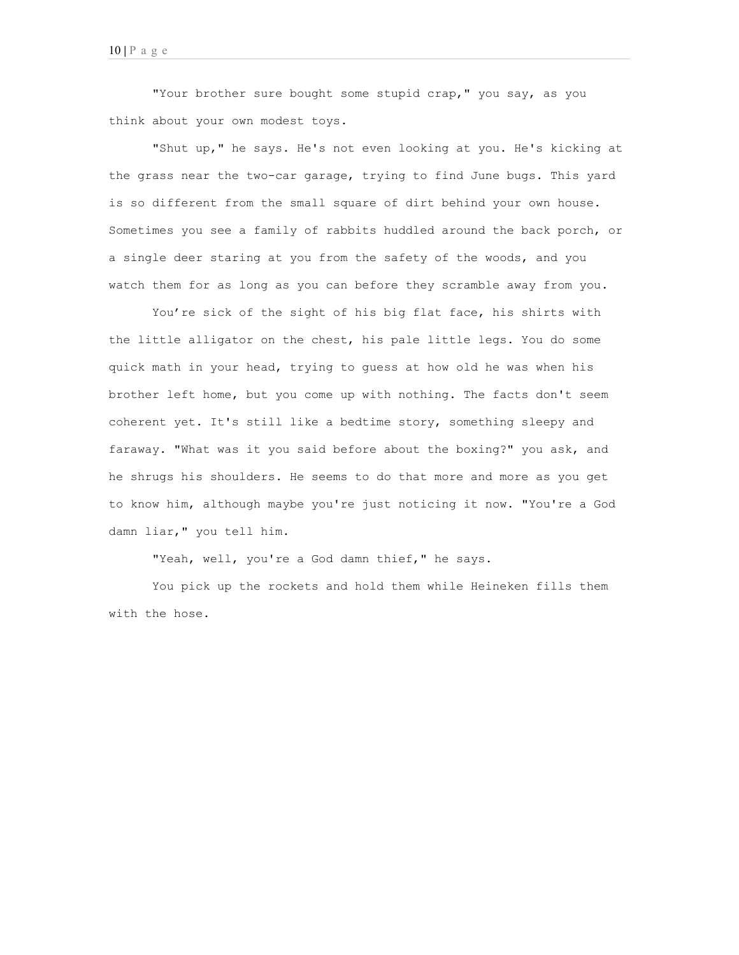"Your brother sure bought some stupid crap," you say, as you think about your own modest toys.

"Shut up," he says. He's not even looking at you. He's kicking at the grass near the two-car garage, trying to find June bugs. This yard is so different from the small square of dirt behind your own house. Sometimes you see a family of rabbits huddled around the back porch, or a single deer staring at you from the safety of the woods, and you watch them for as long as you can before they scramble away from you.

You're sick of the sight of his big flat face, his shirts with the little alligator on the chest, his pale little legs. You do some quick math in your head, trying to guess at how old he was when his brother left home, but you come up with nothing. The facts don't seem coherent yet. It's still like a bedtime story, something sleepy and faraway. "What was it you said before about the boxing?" you ask, and he shrugs his shoulders. He seems to do that more and more as you get to know him, although maybe you're just noticing it now. "You're a God damn liar," you tell him.

"Yeah, well, you're a God damn thief," he says.

You pick up the rockets and hold them while Heineken fills them with the hose.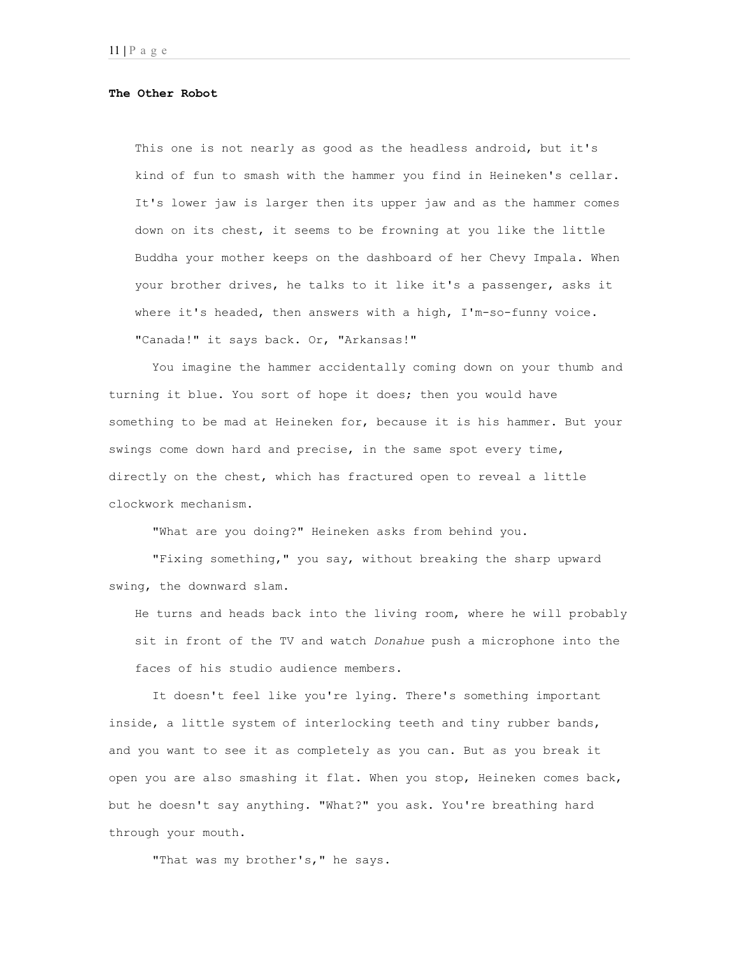## **The Other Robot**

This one is not nearly as good as the headless android, but it's kind of fun to smash with the hammer you find in Heineken's cellar. It's lower jaw is larger then its upper jaw and as the hammer comes down on its chest, it seems to be frowning at you like the little Buddha your mother keeps on the dashboard of her Chevy Impala. When your brother drives, he talks to it like it's a passenger, asks it where it's headed, then answers with a high, I'm-so-funny voice. "Canada!" it says back. Or, "Arkansas!"

You imagine the hammer accidentally coming down on your thumb and turning it blue. You sort of hope it does; then you would have something to be mad at Heineken for, because it is his hammer. But your swings come down hard and precise, in the same spot every time, directly on the chest, which has fractured open to reveal a little clockwork mechanism.

"What are you doing?" Heineken asks from behind you.

"Fixing something," you say, without breaking the sharp upward swing, the downward slam.

He turns and heads back into the living room, where he will probably sit in front of the TV and watch *Donahue* push a microphone into the faces of his studio audience members.

It doesn't feel like you're lying. There's something important inside, a little system of interlocking teeth and tiny rubber bands, and you want to see it as completely as you can. But as you break it open you are also smashing it flat. When you stop, Heineken comes back, but he doesn't say anything. "What?" you ask. You're breathing hard through your mouth.

"That was my brother's," he says.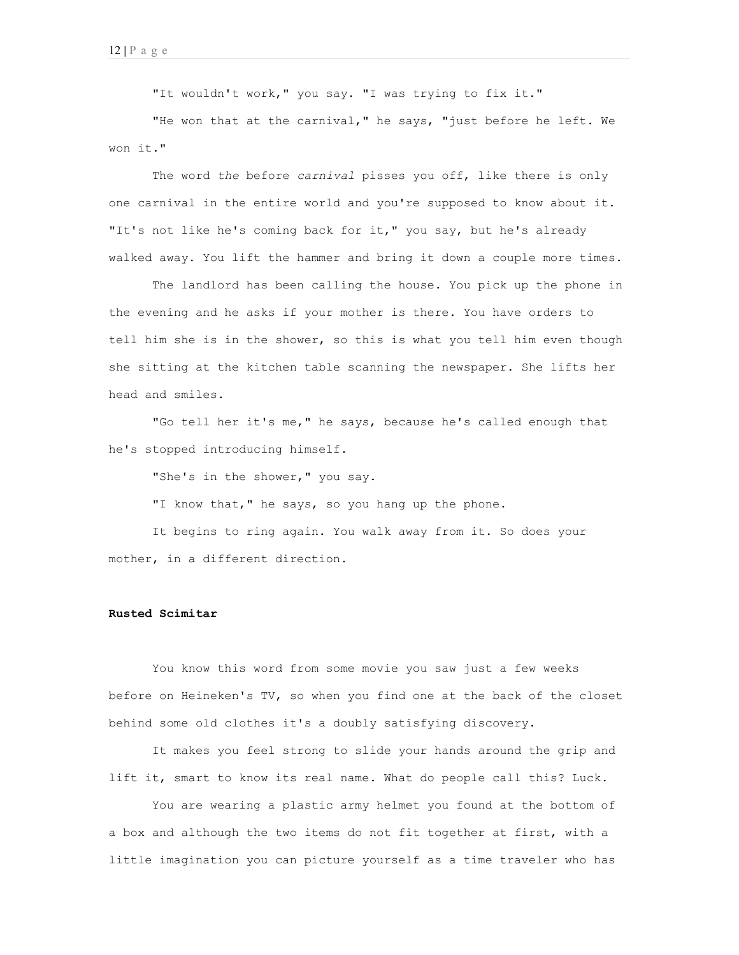"It wouldn't work," you say. "I was trying to fix it."

"He won that at the carnival," he says, "just before he left. We won it."

The word *the* before *carnival* pisses you off, like there is only one carnival in the entire world and you're supposed to know about it. "It's not like he's coming back for it," you say, but he's already walked away. You lift the hammer and bring it down a couple more times.

The landlord has been calling the house. You pick up the phone in the evening and he asks if your mother is there. You have orders to tell him she is in the shower, so this is what you tell him even though she sitting at the kitchen table scanning the newspaper. She lifts her head and smiles.

"Go tell her it's me," he says, because he's called enough that he's stopped introducing himself.

"She's in the shower," you say.

"I know that," he says, so you hang up the phone.

It begins to ring again. You walk away from it. So does your mother, in a different direction.

#### **Rusted Scimitar**

You know this word from some movie you saw just a few weeks before on Heineken's TV, so when you find one at the back of the closet behind some old clothes it's a doubly satisfying discovery.

It makes you feel strong to slide your hands around the grip and lift it, smart to know its real name. What do people call this? Luck.

You are wearing a plastic army helmet you found at the bottom of a box and although the two items do not fit together at first, with a little imagination you can picture yourself as a time traveler who has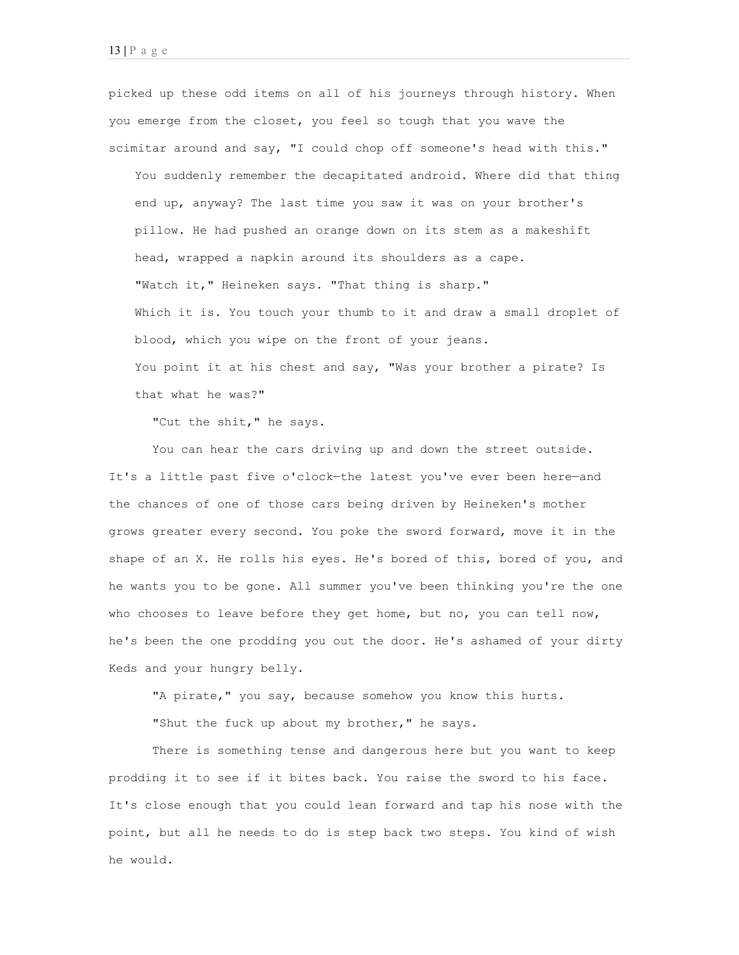picked up these odd items on all of his journeys through history. When you emerge from the closet, you feel so tough that you wave the scimitar around and say, "I could chop off someone's head with this."

You suddenly remember the decapitated android. Where did that thing end up, anyway? The last time you saw it was on your brother's pillow. He had pushed an orange down on its stem as a makeshift head, wrapped a napkin around its shoulders as a cape. "Watch it," Heineken says. "That thing is sharp." Which it is. You touch your thumb to it and draw a small droplet of blood, which you wipe on the front of your jeans. You point it at his chest and say, "Was your brother a pirate? Is that what he was?"

"Cut the shit," he says.

You can hear the cars driving up and down the street outside. It's a little past five o'clock—the latest you've ever been here—and the chances of one of those cars being driven by Heineken's mother grows greater every second. You poke the sword forward, move it in the shape of an X. He rolls his eyes. He's bored of this, bored of you, and he wants you to be gone. All summer you've been thinking you're the one who chooses to leave before they get home, but no, you can tell now, he's been the one prodding you out the door. He's ashamed of your dirty Keds and your hungry belly.

"A pirate," you say, because somehow you know this hurts.

"Shut the fuck up about my brother," he says.

There is something tense and dangerous here but you want to keep prodding it to see if it bites back. You raise the sword to his face. It's close enough that you could lean forward and tap his nose with the point, but all he needs to do is step back two steps. You kind of wish he would.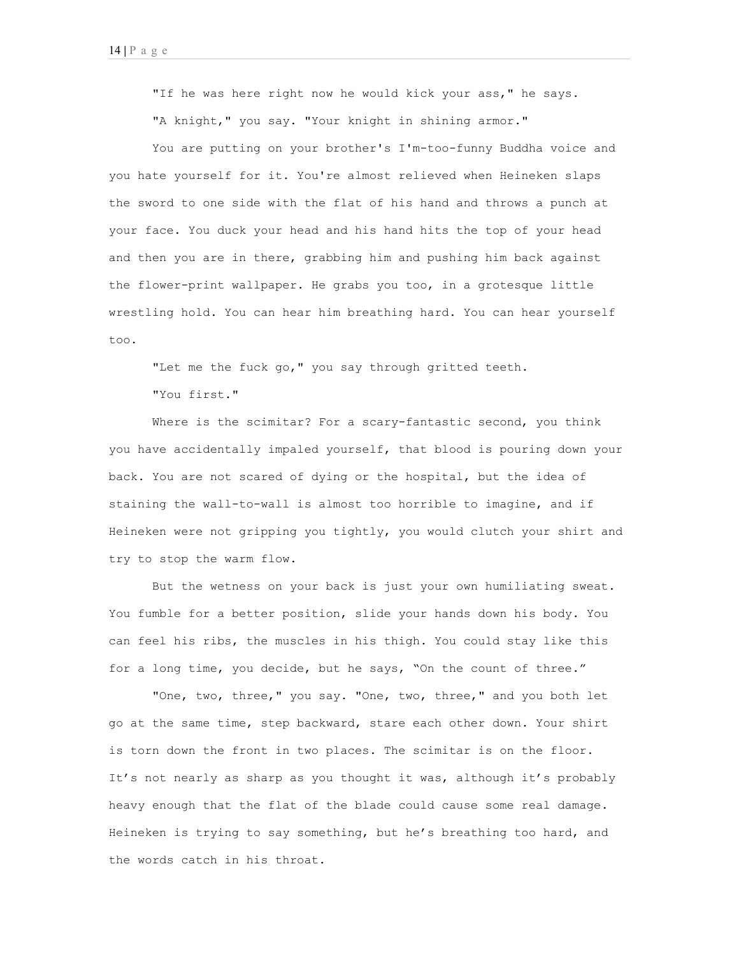"If he was here right now he would kick your ass," he says.

"A knight," you say. "Your knight in shining armor."

You are putting on your brother's I'm-too-funny Buddha voice and you hate yourself for it. You're almost relieved when Heineken slaps the sword to one side with the flat of his hand and throws a punch at your face. You duck your head and his hand hits the top of your head and then you are in there, grabbing him and pushing him back against the flower-print wallpaper. He grabs you too, in a grotesque little wrestling hold. You can hear him breathing hard. You can hear yourself too.

"Let me the fuck go," you say through gritted teeth.

"You first."

Where is the scimitar? For a scary-fantastic second, you think you have accidentally impaled yourself, that blood is pouring down your back. You are not scared of dying or the hospital, but the idea of staining the wall-to-wall is almost too horrible to imagine, and if Heineken were not gripping you tightly, you would clutch your shirt and try to stop the warm flow.

But the wetness on your back is just your own humiliating sweat. You fumble for a better position, slide your hands down his body. You can feel his ribs, the muscles in his thigh. You could stay like this for a long time, you decide, but he says, "On the count of three."

"One, two, three," you say. "One, two, three," and you both let go at the same time, step backward, stare each other down. Your shirt is torn down the front in two places. The scimitar is on the floor. It's not nearly as sharp as you thought it was, although it's probably heavy enough that the flat of the blade could cause some real damage. Heineken is trying to say something, but he's breathing too hard, and the words catch in his throat.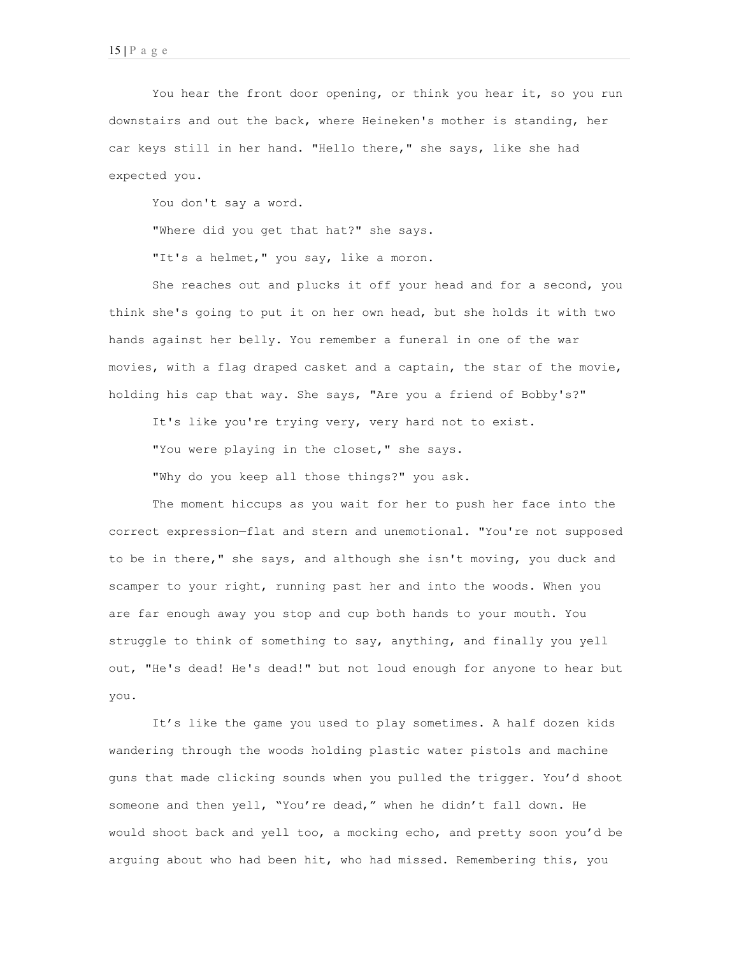You hear the front door opening, or think you hear it, so you run downstairs and out the back, where Heineken's mother is standing, her car keys still in her hand. "Hello there," she says, like she had expected you.

You don't say a word.

"Where did you get that hat?" she says.

"It's a helmet," you say, like a moron.

She reaches out and plucks it off your head and for a second, you think she's going to put it on her own head, but she holds it with two hands against her belly. You remember a funeral in one of the war movies, with a flag draped casket and a captain, the star of the movie, holding his cap that way. She says, "Are you a friend of Bobby's?"

It's like you're trying very, very hard not to exist.

"You were playing in the closet," she says.

"Why do you keep all those things?" you ask.

The moment hiccups as you wait for her to push her face into the correct expression—flat and stern and unemotional. "You're not supposed to be in there," she says, and although she isn't moving, you duck and scamper to your right, running past her and into the woods. When you are far enough away you stop and cup both hands to your mouth. You struggle to think of something to say, anything, and finally you yell out, "He's dead! He's dead!" but not loud enough for anyone to hear but you.

It's like the game you used to play sometimes. A half dozen kids wandering through the woods holding plastic water pistols and machine guns that made clicking sounds when you pulled the trigger. You'd shoot someone and then yell, "You're dead," when he didn't fall down. He would shoot back and yell too, a mocking echo, and pretty soon you'd be arguing about who had been hit, who had missed. Remembering this, you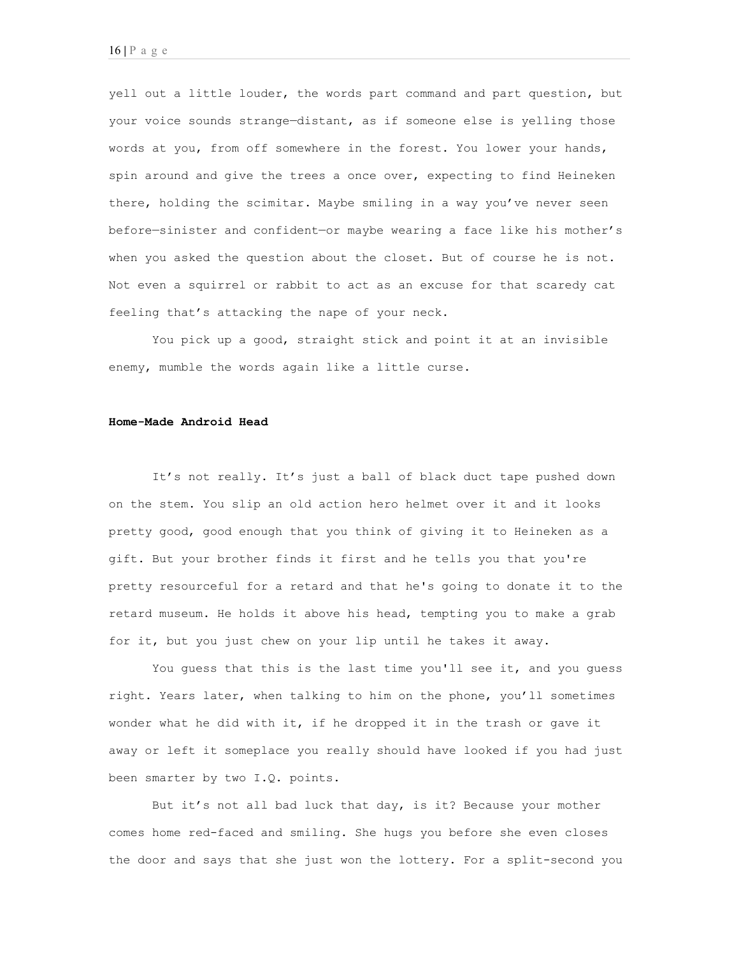yell out a little louder, the words part command and part question, but your voice sounds strange—distant, as if someone else is yelling those words at you, from off somewhere in the forest. You lower your hands, spin around and give the trees a once over, expecting to find Heineken there, holding the scimitar. Maybe smiling in a way you've never seen before—sinister and confident—or maybe wearing a face like his mother's when you asked the question about the closet. But of course he is not. Not even a squirrel or rabbit to act as an excuse for that scaredy cat feeling that's attacking the nape of your neck.

You pick up a good, straight stick and point it at an invisible enemy, mumble the words again like a little curse.

### **Home-Made Android Head**

It's not really. It's just a ball of black duct tape pushed down on the stem. You slip an old action hero helmet over it and it looks pretty good, good enough that you think of giving it to Heineken as a gift. But your brother finds it first and he tells you that you're pretty resourceful for a retard and that he's going to donate it to the retard museum. He holds it above his head, tempting you to make a grab for it, but you just chew on your lip until he takes it away.

You guess that this is the last time you'll see it, and you guess right. Years later, when talking to him on the phone, you'll sometimes wonder what he did with it, if he dropped it in the trash or gave it away or left it someplace you really should have looked if you had just been smarter by two I.Q. points.

But it's not all bad luck that day, is it? Because your mother comes home red-faced and smiling. She hugs you before she even closes the door and says that she just won the lottery. For a split-second you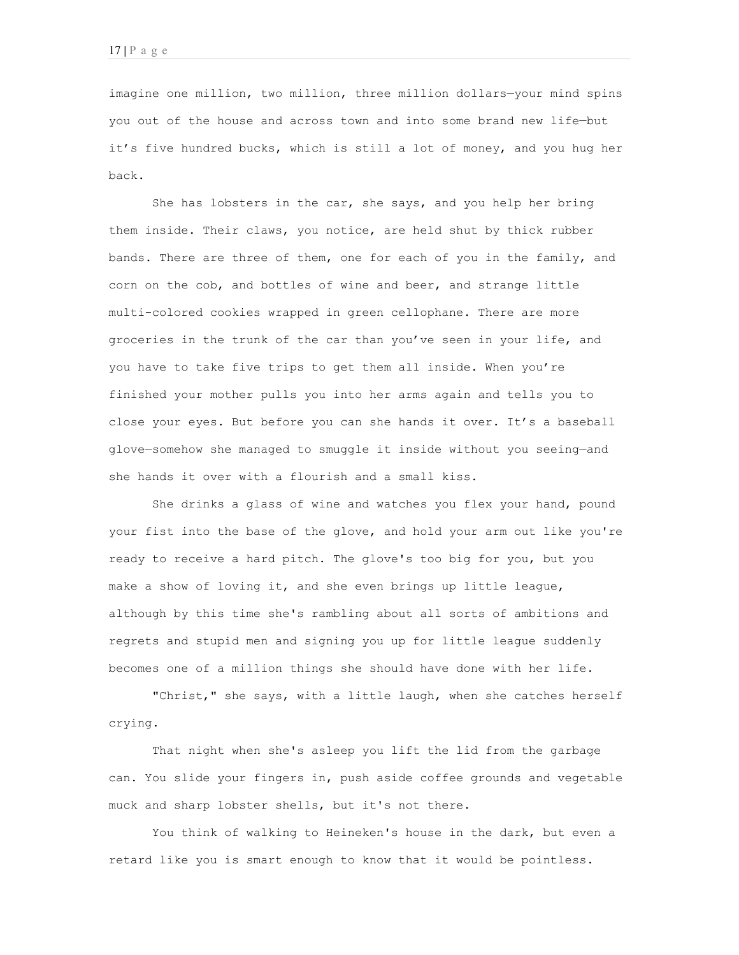imagine one million, two million, three million dollars—your mind spins you out of the house and across town and into some brand new life—but it's five hundred bucks, which is still a lot of money, and you hug her back.

She has lobsters in the car, she says, and you help her bring them inside. Their claws, you notice, are held shut by thick rubber bands. There are three of them, one for each of you in the family, and corn on the cob, and bottles of wine and beer, and strange little multi-colored cookies wrapped in green cellophane. There are more groceries in the trunk of the car than you've seen in your life, and you have to take five trips to get them all inside. When you're finished your mother pulls you into her arms again and tells you to close your eyes. But before you can she hands it over. It's a baseball glove—somehow she managed to smuggle it inside without you seeing—and she hands it over with a flourish and a small kiss.

She drinks a glass of wine and watches you flex your hand, pound your fist into the base of the glove, and hold your arm out like you're ready to receive a hard pitch. The glove's too big for you, but you make a show of loving it, and she even brings up little league, although by this time she's rambling about all sorts of ambitions and regrets and stupid men and signing you up for little league suddenly becomes one of a million things she should have done with her life.

"Christ," she says, with a little laugh, when she catches herself crying.

That night when she's asleep you lift the lid from the garbage can. You slide your fingers in, push aside coffee grounds and vegetable muck and sharp lobster shells, but it's not there.

You think of walking to Heineken's house in the dark, but even a retard like you is smart enough to know that it would be pointless.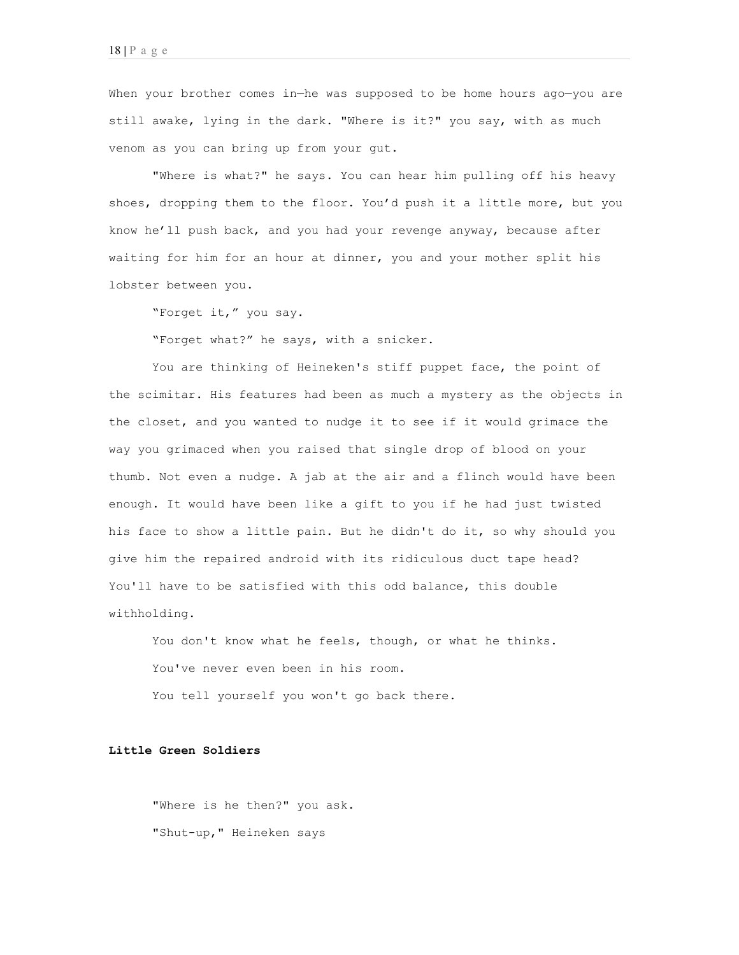When your brother comes in-he was supposed to be home hours ago-you are still awake, lying in the dark. "Where is it?" you say, with as much venom as you can bring up from your gut.

"Where is what?" he says. You can hear him pulling off his heavy shoes, dropping them to the floor. You'd push it a little more, but you know he'll push back, and you had your revenge anyway, because after waiting for him for an hour at dinner, you and your mother split his lobster between you.

"Forget it," you say.

"Forget what?" he says, with a snicker.

You are thinking of Heineken's stiff puppet face, the point of the scimitar. His features had been as much a mystery as the objects in the closet, and you wanted to nudge it to see if it would grimace the way you grimaced when you raised that single drop of blood on your thumb. Not even a nudge. A jab at the air and a flinch would have been enough. It would have been like a gift to you if he had just twisted his face to show a little pain. But he didn't do it, so why should you give him the repaired android with its ridiculous duct tape head? You'll have to be satisfied with this odd balance, this double withholding.

You don't know what he feels, though, or what he thinks. You've never even been in his room. You tell yourself you won't go back there.

## **Little Green Soldiers**

"Where is he then?" you ask. "Shut-up," Heineken says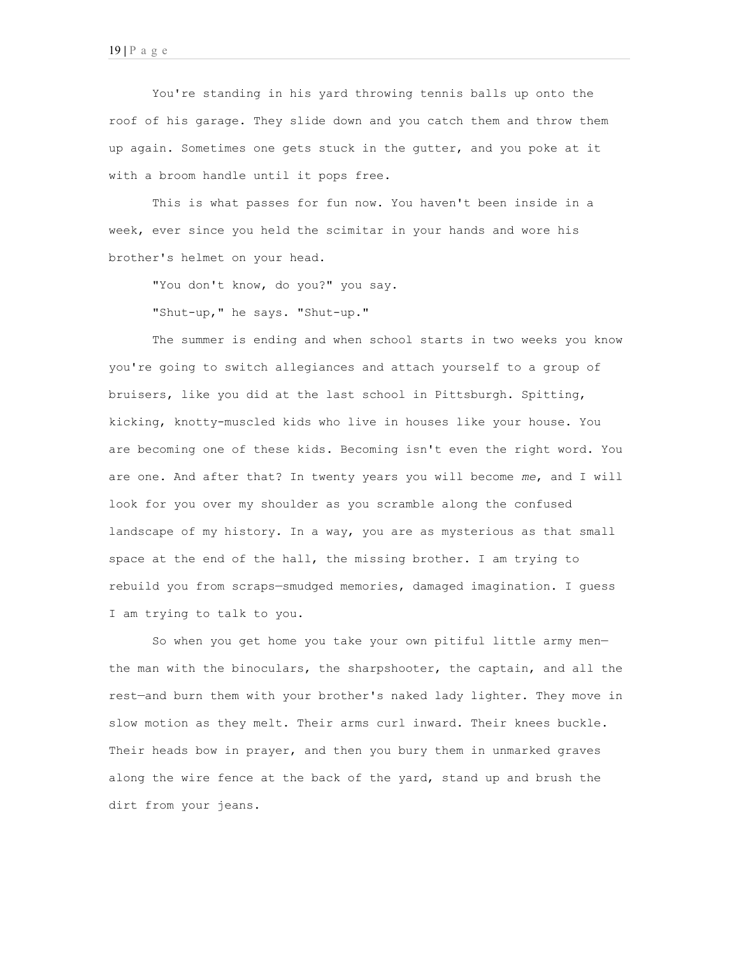You're standing in his yard throwing tennis balls up onto the roof of his garage. They slide down and you catch them and throw them up again. Sometimes one gets stuck in the gutter, and you poke at it with a broom handle until it pops free.

This is what passes for fun now. You haven't been inside in a week, ever since you held the scimitar in your hands and wore his brother's helmet on your head.

"You don't know, do you?" you say.

"Shut-up," he says. "Shut-up."

The summer is ending and when school starts in two weeks you know you're going to switch allegiances and attach yourself to a group of bruisers, like you did at the last school in Pittsburgh. Spitting, kicking, knotty-muscled kids who live in houses like your house. You are becoming one of these kids. Becoming isn't even the right word. You are one. And after that? In twenty years you will become *me*, and I will look for you over my shoulder as you scramble along the confused landscape of my history. In a way, you are as mysterious as that small space at the end of the hall, the missing brother. I am trying to rebuild you from scraps—smudged memories, damaged imagination. I guess I am trying to talk to you.

So when you get home you take your own pitiful little army men the man with the binoculars, the sharpshooter, the captain, and all the rest—and burn them with your brother's naked lady lighter. They move in slow motion as they melt. Their arms curl inward. Their knees buckle. Their heads bow in prayer, and then you bury them in unmarked graves along the wire fence at the back of the yard, stand up and brush the dirt from your jeans.